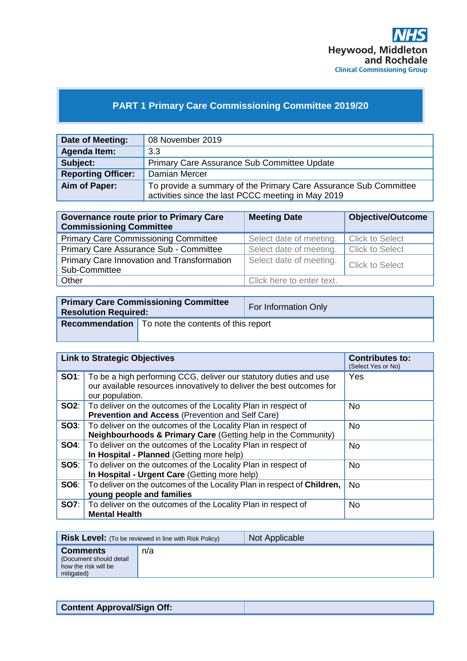

# **PART 1 Primary Care Commissioning Committee 2019/20**

| Date of Meeting:          | 08 November 2019                                                 |
|---------------------------|------------------------------------------------------------------|
| <b>Agenda Item:</b>       | 3.3                                                              |
| Subject:                  | Primary Care Assurance Sub Committee Update                      |
| <b>Reporting Officer:</b> | Damian Mercer                                                    |
| Aim of Paper:             | To provide a summary of the Primary Care Assurance Sub Committee |
|                           | activities since the last PCCC meeting in May 2019               |

| <b>Governance route prior to Primary Care</b><br><b>Commissioning Committee</b> | <b>Meeting Date</b>       | <b>Objective/Outcome</b> |
|---------------------------------------------------------------------------------|---------------------------|--------------------------|
| <b>Primary Care Commissioning Committee</b>                                     | Select date of meeting.   | Click to Select          |
| Primary Care Assurance Sub - Committee                                          | Select date of meeting.   | <b>Click to Select</b>   |
| Primary Care Innovation and Transformation<br>Sub-Committee                     | Select date of meeting.   | Click to Select          |
| Other                                                                           | Click here to enter text. |                          |

| <b>Primary Care Commissioning Committee</b><br><b>Resolution Required:</b> |                                                             | For Information Only |
|----------------------------------------------------------------------------|-------------------------------------------------------------|----------------------|
|                                                                            | <b>Recommendation</b>   To note the contents of this report |                      |

|             | <b>Link to Strategic Objectives</b>                                                                                                                                        | <b>Contributes to:</b><br>(Select Yes or No) |
|-------------|----------------------------------------------------------------------------------------------------------------------------------------------------------------------------|----------------------------------------------|
|             | <b>SO1</b> : To be a high performing CCG, deliver our statutory duties and use<br>our available resources innovatively to deliver the best outcomes for<br>our population. | Yes                                          |
|             | <b>SO2:</b> To deliver on the outcomes of the Locality Plan in respect of<br><b>Prevention and Access (Prevention and Self Care)</b>                                       | <b>No</b>                                    |
|             | <b>SO3:</b>   To deliver on the outcomes of the Locality Plan in respect of<br>Neighbourhoods & Primary Care (Getting help in the Community)                               | <b>No</b>                                    |
| SO4:        | To deliver on the outcomes of the Locality Plan in respect of<br>In Hospital - Planned (Getting more help)                                                                 | <b>No</b>                                    |
|             | <b>SO5:</b> To deliver on the outcomes of the Locality Plan in respect of<br>In Hospital - Urgent Care (Getting more help)                                                 | <b>No</b>                                    |
| <b>SO6:</b> | To deliver on the outcomes of the Locality Plan in respect of Children,<br>young people and families                                                                       | <b>No</b>                                    |
| SO7:        | To deliver on the outcomes of the Locality Plan in respect of<br><b>Mental Health</b>                                                                                      | <b>No</b>                                    |

|                                                                                  | <b>Risk Level:</b> (To be reviewed in line with Risk Policy) | Not Applicable |
|----------------------------------------------------------------------------------|--------------------------------------------------------------|----------------|
| <b>Comments</b><br>(Document should detail<br>how the risk will be<br>mitigated) | n/a                                                          |                |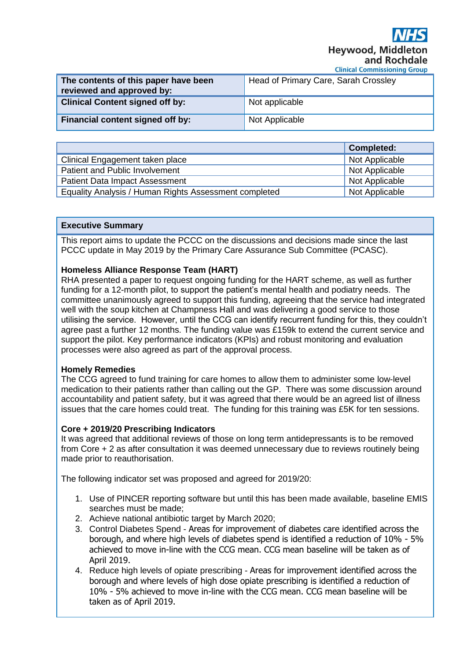**Hevwood, Middleton** and Rochdale

|  |  |  |  |  |  | <b>Clinical Commissioning Group</b> |
|--|--|--|--|--|--|-------------------------------------|
|--|--|--|--|--|--|-------------------------------------|

| The contents of this paper have been<br>reviewed and approved by: | Head of Primary Care, Sarah Crossley |
|-------------------------------------------------------------------|--------------------------------------|
| <b>Clinical Content signed off by:</b>                            | Not applicable                       |
| Financial content signed off by:                                  | Not Applicable                       |

|                                                       | Completed:     |
|-------------------------------------------------------|----------------|
| Clinical Engagement taken place                       | Not Applicable |
| Patient and Public Involvement                        | Not Applicable |
| <b>Patient Data Impact Assessment</b>                 | Not Applicable |
| Equality Analysis / Human Rights Assessment completed | Not Applicable |

#### **Executive Summary**

This report aims to update the PCCC on the discussions and decisions made since the last PCCC update in May 2019 by the Primary Care Assurance Sub Committee (PCASC).

#### **Homeless Alliance Response Team (HART)**

RHA presented a paper to request ongoing funding for the HART scheme, as well as further funding for a 12-month pilot, to support the patient's mental health and podiatry needs. The committee unanimously agreed to support this funding, agreeing that the service had integrated well with the soup kitchen at Champness Hall and was delivering a good service to those utilising the service. However, until the CCG can identify recurrent funding for this, they couldn't agree past a further 12 months. The funding value was £159k to extend the current service and support the pilot. Key performance indicators (KPIs) and robust monitoring and evaluation processes were also agreed as part of the approval process.

# **Homely Remedies**

The CCG agreed to fund training for care homes to allow them to administer some low-level medication to their patients rather than calling out the GP. There was some discussion around accountability and patient safety, but it was agreed that there would be an agreed list of illness issues that the care homes could treat. The funding for this training was £5K for ten sessions.

# **Core + 2019/20 Prescribing Indicators**

It was agreed that additional reviews of those on long term antidepressants is to be removed from Core + 2 as after consultation it was deemed unnecessary due to reviews routinely being made prior to reauthorisation.

The following indicator set was proposed and agreed for 2019/20:

- 1. Use of PINCER reporting software but until this has been made available, baseline EMIS searches must be made;
- 2. Achieve national antibiotic target by March 2020;
- 3. Control Diabetes Spend Areas for improvement of diabetes care identified across the borough, and where high levels of diabetes spend is identified a reduction of 10% - 5% achieved to move in-line with the CCG mean. CCG mean baseline will be taken as of April 2019.
- 4. Reduce high levels of opiate prescribing Areas for improvement identified across the borough and where levels of high dose opiate prescribing is identified a reduction of 10% - 5% achieved to move in-line with the CCG mean. CCG mean baseline will be taken as of April 2019.